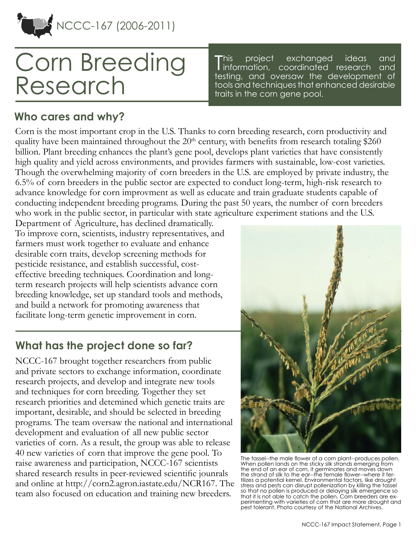

# Corn Breeding Research

This project exchanged ideas and<br>information, coordinated research and<br>indicated in the leadership his project exchanged ideas and testing, and oversaw the development of tools and techniques that enhanced desirable traits in the corn gene pool.

### **Who cares and why?**

Corn is the most important crop in the U.S. Thanks to corn breeding research, corn productivity and quality have been maintained throughout the 20<sup>th</sup> century, with benefits from research totaling \$260 billion. Plant breeding enhances the plant's gene pool, develops plant varieties that have consistently high quality and yield across environments, and provides farmers with sustainable, low-cost varieties. Though the overwhelming majority of corn breeders in the U.S. are employed by private industry, the 6.5% of corn breeders in the public sector are expected to conduct long-term, high-risk research to advance knowledge for corn improvment as well as educate and train graduate students capable of conducting independent breeding programs. During the past 50 years, the number of corn breeders who work in the public sector, in particular with state agriculture experiment stations and the U.S.

Department of Agriculture, has declined dramatically. To improve corn, scientists, industry representatives, and farmers must work together to evaluate and enhance desirable corn traits, develop screening methods for pesticide resistance, and establish successful, costeffective breeding techniques. Coordination and longterm research projects will help scientists advance corn breeding knowledge, set up standard tools and methods, and build a network for promoting awareness that facilitate long-term genetic improvement in corn.

## **What has the project done so far?**

NCCC-167 brought together researchers from public and private sectors to exchange information, coordinate research projects, and develop and integrate new tools and techniques for corn breeding. Together they set research priorities and detemined which genetic traits are important, desirable, and should be selected in breeding programs. The team oversaw the national and international development and evaluation of all new public sector varieties of corn. As a result, the group was able to release 40 new varieties of corn that improve the gene pool. To raise awareness and participation, NCCC-167 scientists shared research results in peer-reviewed scientific jounrals and online at<http://corn2.agron.iastate.edu/NCR167>. The team also focused on education and training new breeders.



The tassel--the male flower of a corn plant--produces pollen. When pollen lands on the sticky silk strands emerging from the end of an ear of corn, it germinates and moves down the strand of silk to the ear--the female flower--where it fertilizes a potential kernel. Environmental factors, like drought stress and pests can disrupt pollenization by killing the tassel so that no pollen is produced or delaying silk emergence so that it is not able to catch the pollen. Corn breeders are ex-perimenting with varieties of corn that are more drought and pest tolerant. Photo courtesy of the National Archives.